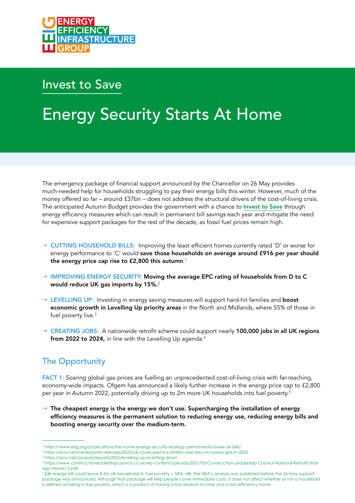

# Invest to Save

# Energy Security Starts At Home

The emergency package of financial support announced by the Chancellor on 26 May provides much-needed help for households struggling to pay their energy bills this winter. However, much of the money offered so far – around £37bn – does not address the structural drivers of the cost-of-living crisis. The anticipated Autumn Budget provides the government with a chance to Invest to Save through energy efficiency measures which can result in permanent bill savings each year and mitigate the need for expensive support packages for the rest of the decade, as fossil fuel prices remain high.

- $\rightarrow$  CUTTING HOUSEHOLD BILLS: Improving the least efficient homes currently rated 'D' or worse for energy performance to 'C' would save those households on average around £916 per year should the energy price cap rise to £2,800 this autumn. $^{\rm 1}$
- $\rightarrow$  IMPROVING ENERGY SECURITY: Moving the average EPC rating of households from D to C would reduce UK gas imports by 15%.<sup>2</sup>
- $\rightarrow$  LEVELLING UP: Investing in energy saving measures will support hard-hit families and **boost** economic growth in Levelling Up priority areas in the North and Midlands, where 55% of those in fuel poverty live.<sup>3</sup>
- $\rightarrow$  CREATING JOBS: A nationwide retrofit scheme could support nearly 100,000 jobs in all UK regions from 2022 to 2024, in line with the Levelling Up agenda.<sup>4</sup>

## The Opportunity

FACT 1: Soaring global gas prices are fuelling an unprecedented cost-of-living crisis with far-reaching, economy-wide impacts. Ofgem has announced a likely further increase in the energy price cap to £2,800 per year in Autumn 2022, potentially driving up to 2m more UK households into fuel poverty.<sup>5</sup>

 $\rightarrow$  The cheapest energy is the energy we don't use. Supercharging the installation of energy efficiency measures is the permanent solution to reducing energy use, reducing energy bills and boosting energy security over the medium-term.

5 £3k energy bill could leave 8.5m UK households in fuel poverty | NEA. NB: The NEA's analysis was published before the 26 May support package was announced. Although that package will help people cover immediate costs, it does not affect whether or not a household is defined as being in fuel poverty, which is a product of having a low residual income and a low efficiency home.

<sup>1</sup> https://www.e3g.org/publications/the-home-energy-security-strategy-permanently-lower-uk-bills/

<sup>2</sup> https://eciu.net/media/press-releases/2022/uk-could-spend-6-3million-per-day-on-russian-gas-in-2022

<sup>3</sup> https://eciu.net/analysis/reports/2022/levelling-up-or-letting-down

<sup>4</sup> https://www.constructionleadershipcouncil.co.uk/wp-content/uploads/2021/05/Construction-Leadership-Council-National-Retrofit-Strategy-Version-2.pdf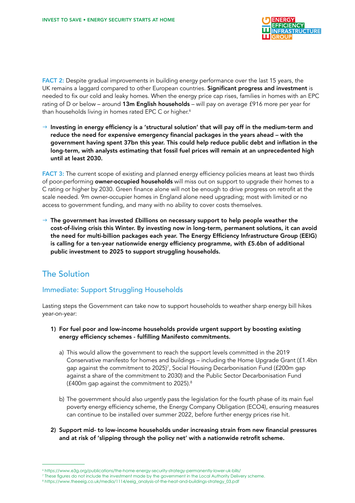

FACT 2: Despite gradual improvements in building energy performance over the last 15 years, the UK remains a laggard compared to other European countries. Significant progress and investment is needed to fix our cold and leaky homes. When the energy price cap rises, families in homes with an EPC rating of D or below – around 13m English households – will pay on average £916 more per year for than households living in homes rated EPC C or higher.<sup>6</sup>

 $\rightarrow$  Investing in energy efficiency is a 'structural solution' that will pay off in the medium-term and reduce the need for expensive emergency financial packages in the years ahead – with the government having spent 37bn this year. This could help reduce public debt and inflation in the long-term, with analysts estimating that fossil fuel prices will remain at an unprecedented high until at least 2030.

FACT 3: The current scope of existing and planned energy efficiency policies means at least two thirds of poor-performing owner-occupied households will miss out on support to upgrade their homes to a C rating or higher by 2030. Green finance alone will not be enough to drive progress on retrofit at the scale needed. 9m owner-occupier homes in England alone need upgrading; most with limited or no access to government funding, and many with no ability to cover costs themselves.

 $\rightarrow$  The government has invested £billions on necessary support to help people weather the cost-of-living crisis this Winter. By investing now in long-term, permanent solutions, it can avoid the need for multi-billion packages each year. The Energy Efficiency Infrastructure Group (EEIG) is calling for a ten-year nationwide energy efficiency programme, with £5.6bn of additional public investment to 2025 to support struggling households.

### The Solution

#### Immediate: Support Struggling Households

Lasting steps the Government can take now to support households to weather sharp energy bill hikes year-on-year:

- 1) For fuel poor and low-income households provide urgent support by boosting existing energy efficiency schemes - fulfilling Manifesto commitments.
	- a) This would allow the government to reach the support levels committed in the 2019 Conservative manifesto for homes and buildings – including the Home Upgrade Grant (£1.4bn gap against the commitment to 2025)7 , Social Housing Decarbonisation Fund (£200m gap against a share of the commitment to 2030) and the Public Sector Decarbonisation Fund (£400m gap against the commitment to 2025).8
	- b) The government should also urgently pass the legislation for the fourth phase of its main fuel poverty energy efficiency scheme, the Energy Company Obligation (ECO4), ensuring measures can continue to be installed over summer 2022, before further energy prices rise hit.
- 2) Support mid- to low-income households under increasing strain from new financial pressures and at risk of 'slipping through the policy net' with a nationwide retrofit scheme.

<sup>6</sup> https://www.e3g.org/publications/the-home-energy-security-strategy-permanently-lower-uk-bills/

<sup>7</sup> These figures do not include the investment made by the government in the Local Authority Delivery scheme.

<sup>8</sup> https://www.theeeig.co.uk/media/1114/eeig\_analysis-of-the-heat-and-buildings-strategy\_03.pdf